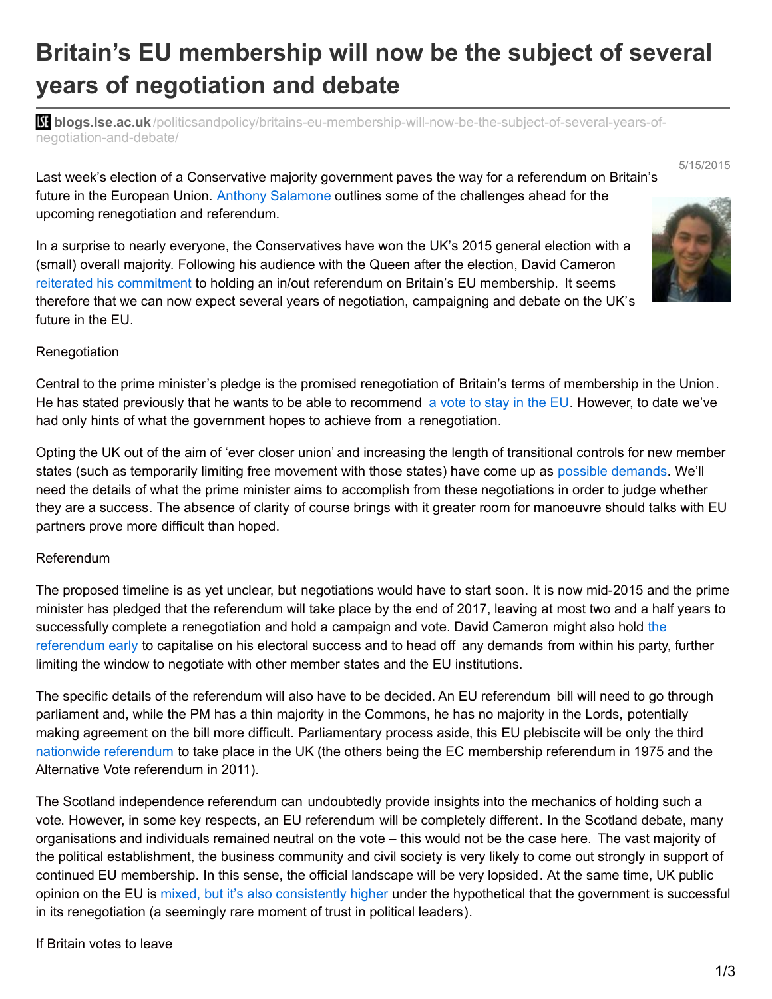1/3

# **Britain's EU membership will now be the subject of several years of negotiation and debate**

**blists blogs.lse.ac.uk**[/politicsandpolicy/britains-eu-membership-will-now-be-the-subject-of-several-years-of](http://blogs.lse.ac.uk/politicsandpolicy/britains-eu-membership-will-now-be-the-subject-of-several-years-of-negotiation-and-debate/)negotiation-and-debate/

Last week's election of a Conservative majority government paves the way for a referendum on Britain's future in the European Union. Anthony Salamone outlines some of the challenges ahead for the upcoming renegotiation and referendum.

In a surprise to nearly everyone, the Conservatives have won the UK's 2015 general election with a (small) overall majority. Following his audience with the Queen after the election, David Cameron reiterated his [commitment](http://www.bbc.co.uk/news/uk-politics-32661073) to holding an in/out referendum on Britain's EU membership. It seems therefore that we can now expect several years of negotiation, campaigning and debate on the UK's future in the EU.

### Renegotiation

Central to the prime minister's pledge is the promised renegotiation of Britain's terms of membership in the Union. He has stated previously that he wants to be able to recommend a [vote](https://www.gov.uk/government/speeches/eu-speech-at-bloomberg) to stay in the EU. However, to date we've had only hints of what the government hopes to achieve from a renegotiation.

Opting the UK out of the aim of 'ever closer union' and increasing the length of transitional controls for new member states (such as temporarily limiting free movement with those states) have come up as possible [demands](http://www.telegraph.co.uk/news/newstopics/eureferendum/10700644/David-Cameron-the-EU-is-not-working-and-we-will-change-it.html). We'll need the details of what the prime minister aims to accomplish from these negotiations in order to judge whether they are a success. The absence of clarity of course brings with it greater room for manoeuvre should talks with EU partners prove more difficult than hoped.

### Referendum

The proposed timeline is as yet unclear, but negotiations would have to start soon. It is now mid-2015 and the prime minister has pledged that the referendum will take place by the end of 2017, leaving at most two and a half years to successfully complete a [renegotiation](http://www.theguardian.com/politics/2015/may/11/david-cameron-european-union-referendum) and hold a campaign and vote. David Cameron might also hold the referendum early to capitalise on his electoral success and to head off any demands from within his party, further limiting the window to negotiate with other member states and the EU institutions.

The specific details of the referendum will also have to be decided. An EU referendum bill will need to go through parliament and, while the PM has a thin majority in the Commons, he has no majority in the Lords, potentially making agreement on the bill more difficult. Parliamentary process aside, this EU plebiscite will be only the third nationwide [referendum](http://www.parliament.uk/education/about-your-parliament/general-elections/referendums/) to take place in the UK (the others being the EC membership referendum in 1975 and the Alternative Vote referendum in 2011).

The Scotland independence referendum can undoubtedly provide insights into the mechanics of holding such a vote. However, in some key respects, an EU referendum will be completely different. In the Scotland debate, many organisations and individuals remained neutral on the vote – this would not be the case here. The vast majority of the political establishment, the business community and civil society is very likely to come out strongly in support of continued EU membership. In this sense, the official landscape will be very lopsided. At the same time, UK public opinion on the EU is mixed, but it's also [consistently](https://d25d2506sfb94s.cloudfront.net/cumulus_uploads/document/a6wy2gtckh/YG-Archives-Pol-Trackers-Europe-Referendum-230215.pdf) higher under the hypothetical that the government is successful in its renegotiation (a seemingly rare moment of trust in political leaders).



5/15/2015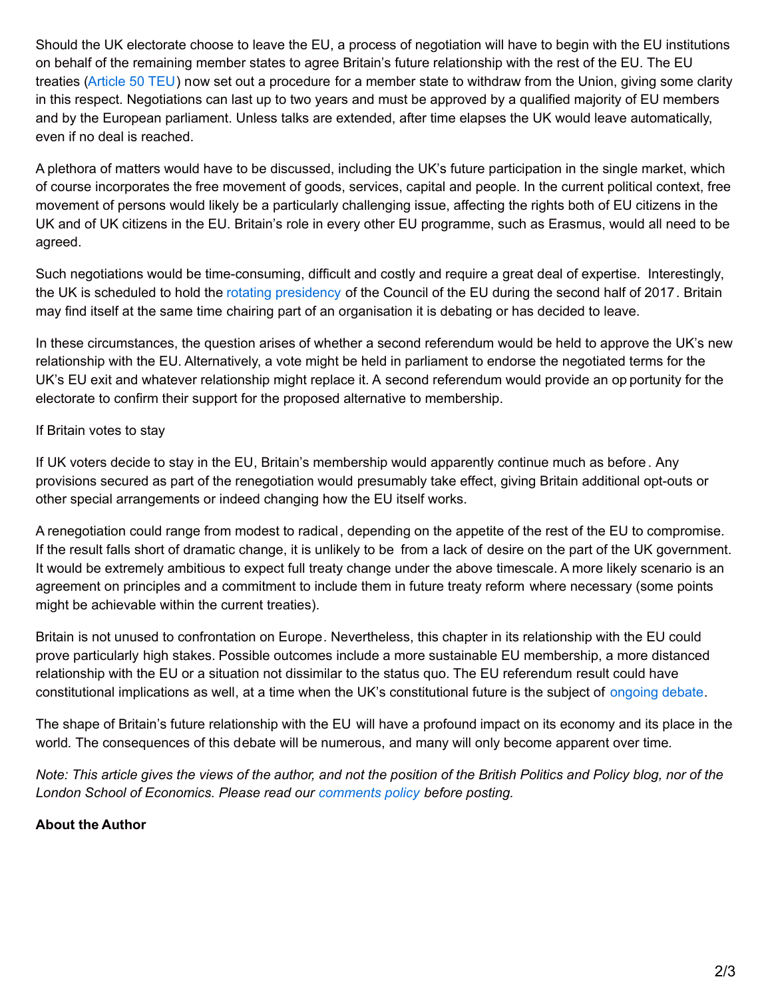Should the UK electorate choose to leave the EU, a process of negotiation will have to begin with the EU institutions on behalf of the remaining member states to agree Britain's future relationship with the rest of the EU. The EU treaties [\(Article](https://www.gov.uk/government/uploads/system/uploads/attachment_data/file/228848/7310.pdf) 50 TEU) now set out a procedure for a member state to withdraw from the Union, giving some clarity in this respect. Negotiations can last up to two years and must be approved by a qualified majority of EU members and by the European parliament. Unless talks are extended, after time elapses the UK would leave automatically, even if no deal is reached.

A plethora of matters would have to be discussed, including the UK's future participation in the single market, which of course incorporates the free movement of goods, services, capital and people. In the current political context, free movement of persons would likely be a particularly challenging issue, affecting the rights both of EU citizens in the UK and of UK citizens in the EU. Britain's role in every other EU programme, such as Erasmus, would all need to be agreed.

Such negotiations would be time-consuming, difficult and costly and require a great deal of expertise. Interestingly, the UK is scheduled to hold the rotating [presidency](http://www.consilium.europa.eu/en/council-eu/presidency-council-eu/) of the Council of the EU during the second half of 2017. Britain may find itself at the same time chairing part of an organisation it is debating or has decided to leave.

In these circumstances, the question arises of whether a second referendum would be held to approve the UK's new relationship with the EU. Alternatively, a vote might be held in parliament to endorse the negotiated terms for the UK's EU exit and whatever relationship might replace it. A second referendum would provide an op portunity for the electorate to confirm their support for the proposed alternative to membership.

### If Britain votes to stay

If UK voters decide to stay in the EU, Britain's membership would apparently continue much as before . Any provisions secured as part of the renegotiation would presumably take effect, giving Britain additional opt-outs or other special arrangements or indeed changing how the EU itself works.

A renegotiation could range from modest to radical, depending on the appetite of the rest of the EU to compromise. If the result falls short of dramatic change, it is unlikely to be from a lack of desire on the part of the UK government. It would be extremely ambitious to expect full treaty change under the above timescale. A more likely scenario is an agreement on principles and a commitment to include them in future treaty reform where necessary (some points might be achievable within the current treaties).

Britain is not unused to confrontation on Europe. Nevertheless, this chapter in its relationship with the EU could prove particularly high stakes. Possible outcomes include a more sustainable EU membership, a more distanced relationship with the EU or a situation not dissimilar to the status quo. The EU referendum result could have constitutional implications as well, at a time when the UK's constitutional future is the subject of [ongoing](http://www.centreonconstitutionalchange.ac.uk/) debate.

The shape of Britain's future relationship with the EU will have a profound impact on its economy and its place in the world. The consequences of this debate will be numerous, and many will only become apparent over time.

Note: This article gives the views of the author, and not the position of the British Politics and Policy blog, nor of the *London School of Economics. Please read our [comments](http://blogs.lse.ac.uk/politicsandpolicy/about/#Comments_Policy) policy before posting.*

## **About the Author**